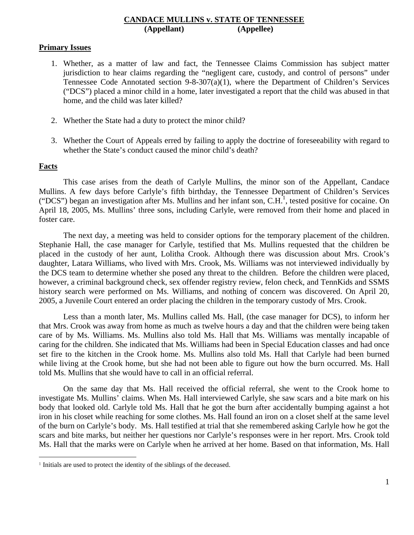# **CANDACE MULLINS v. STATE OF TENNESSEE (Appellant) (Appellee)**

# **Primary Issues**

- 1. Whether, as a matter of law and fact, the Tennessee Claims Commission has subject matter jurisdiction to hear claims regarding the "negligent care, custody, and control of persons" under Tennessee Code Annotated section 9-8-307(a)(1), where the Department of Children's Services ("DCS") placed a minor child in a home, later investigated a report that the child was abused in that home, and the child was later killed?
- 2. Whether the State had a duty to protect the minor child?
- 3. Whether the Court of Appeals erred by failing to apply the doctrine of foreseeability with regard to whether the State's conduct caused the minor child's death?

# **Facts**

 $\overline{a}$ 

 This case arises from the death of Carlyle Mullins, the minor son of the Appellant, Candace Mullins. A few days before Carlyle's fifth birthday, the Tennessee Department of Children's Services ("DCS") began an investigation after Ms. Mullins and her infant son,  $C.H^1$ , tested positive for cocaine. On April 18, 2005, Ms. Mullins' three sons, including Carlyle, were removed from their home and placed in foster care.

The next day, a meeting was held to consider options for the temporary placement of the children. Stephanie Hall, the case manager for Carlyle, testified that Ms. Mullins requested that the children be placed in the custody of her aunt, Lolitha Crook. Although there was discussion about Mrs. Crook's daughter, Latara Williams, who lived with Mrs. Crook, Ms. Williams was not interviewed individually by the DCS team to determine whether she posed any threat to the children. Before the children were placed, however, a criminal background check, sex offender registry review, felon check, and TennKids and SSMS history search were performed on Ms. Williams, and nothing of concern was discovered. On April 20, 2005, a Juvenile Court entered an order placing the children in the temporary custody of Mrs. Crook.

Less than a month later, Ms. Mullins called Ms. Hall, (the case manager for DCS), to inform her that Mrs. Crook was away from home as much as twelve hours a day and that the children were being taken care of by Ms. Williams. Ms. Mullins also told Ms. Hall that Ms. Williams was mentally incapable of caring for the children. She indicated that Ms. Williams had been in Special Education classes and had once set fire to the kitchen in the Crook home. Ms. Mullins also told Ms. Hall that Carlyle had been burned while living at the Crook home, but she had not been able to figure out how the burn occurred. Ms. Hall told Ms. Mullins that she would have to call in an official referral.

On the same day that Ms. Hall received the official referral, she went to the Crook home to investigate Ms. Mullins' claims. When Ms. Hall interviewed Carlyle, she saw scars and a bite mark on his body that looked old. Carlyle told Ms. Hall that he got the burn after accidentally bumping against a hot iron in his closet while reaching for some clothes. Ms. Hall found an iron on a closet shelf at the same level of the burn on Carlyle's body. Ms. Hall testified at trial that she remembered asking Carlyle how he got the scars and bite marks, but neither her questions nor Carlyle's responses were in her report. Mrs. Crook told Ms. Hall that the marks were on Carlyle when he arrived at her home. Based on that information, Ms. Hall

<sup>&</sup>lt;sup>1</sup> Initials are used to protect the identity of the siblings of the deceased.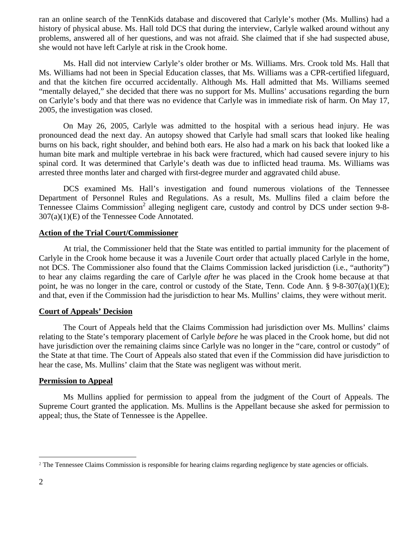ran an online search of the TennKids database and discovered that Carlyle's mother (Ms. Mullins) had a history of physical abuse. Ms. Hall told DCS that during the interview, Carlyle walked around without any problems, answered all of her questions, and was not afraid. She claimed that if she had suspected abuse, she would not have left Carlyle at risk in the Crook home.

Ms. Hall did not interview Carlyle's older brother or Ms. Williams. Mrs. Crook told Ms. Hall that Ms. Williams had not been in Special Education classes, that Ms. Williams was a CPR-certified lifeguard, and that the kitchen fire occurred accidentally. Although Ms. Hall admitted that Ms. Williams seemed "mentally delayed," she decided that there was no support for Ms. Mullins' accusations regarding the burn on Carlyle's body and that there was no evidence that Carlyle was in immediate risk of harm. On May 17, 2005, the investigation was closed.

On May 26, 2005, Carlyle was admitted to the hospital with a serious head injury. He was pronounced dead the next day. An autopsy showed that Carlyle had small scars that looked like healing burns on his back, right shoulder, and behind both ears. He also had a mark on his back that looked like a human bite mark and multiple vertebrae in his back were fractured, which had caused severe injury to his spinal cord. It was determined that Carlyle's death was due to inflicted head trauma. Ms. Williams was arrested three months later and charged with first-degree murder and aggravated child abuse.

DCS examined Ms. Hall's investigation and found numerous violations of the Tennessee Department of Personnel Rules and Regulations. As a result, Ms. Mullins filed a claim before the Tennessee Claims Commission<sup>2</sup> alleging negligent care, custody and control by DCS under section 9-8-307(a)(1)(E) of the Tennessee Code Annotated.

#### **Action of the Trial Court/Commissioner**

 At trial, the Commissioner held that the State was entitled to partial immunity for the placement of Carlyle in the Crook home because it was a Juvenile Court order that actually placed Carlyle in the home, not DCS. The Commissioner also found that the Claims Commission lacked jurisdiction (i.e., "authority") to hear any claims regarding the care of Carlyle *after* he was placed in the Crook home because at that point, he was no longer in the care, control or custody of the State, Tenn. Code Ann. § 9-8-307(a)(1)(E); and that, even if the Commission had the jurisdiction to hear Ms. Mullins' claims, they were without merit.

#### **Court of Appeals' Decision**

 The Court of Appeals held that the Claims Commission had jurisdiction over Ms. Mullins' claims relating to the State's temporary placement of Carlyle *before* he was placed in the Crook home, but did not have jurisdiction over the remaining claims since Carlyle was no longer in the "care, control or custody" of the State at that time. The Court of Appeals also stated that even if the Commission did have jurisdiction to hear the case, Ms. Mullins' claim that the State was negligent was without merit.

#### **Permission to Appeal**

 Ms Mullins applied for permission to appeal from the judgment of the Court of Appeals. The Supreme Court granted the application. Ms. Mullins is the Appellant because she asked for permission to appeal; thus, the State of Tennessee is the Appellee.

 $\overline{a}$ 

<sup>&</sup>lt;sup>2</sup> The Tennessee Claims Commission is responsible for hearing claims regarding negligence by state agencies or officials.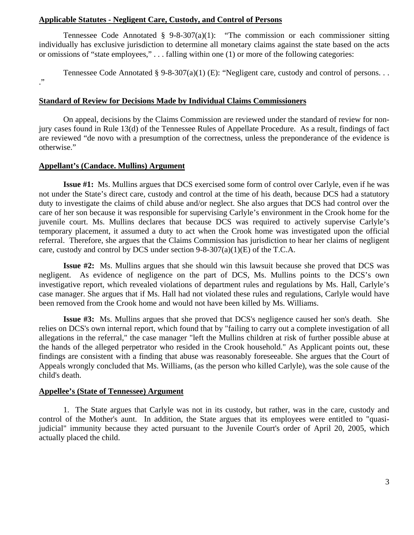### **Applicable Statutes - Negligent Care, Custody, and Control of Persons**

Tennessee Code Annotated  $\S$  9-8-307(a)(1): "The commission or each commissioner sitting individually has exclusive jurisdiction to determine all monetary claims against the state based on the acts or omissions of "state employees," . . . falling within one (1) or more of the following categories:

Tennessee Code Annotated § 9-8-307(a)(1) (E): "Negligent care, custody and control of persons. . .

."

### **Standard of Review for Decisions Made by Individual Claims Commissioners**

 On appeal, decisions by the Claims Commission are reviewed under the standard of review for nonjury cases found in Rule 13(d) of the Tennessee Rules of Appellate Procedure. As a result, findings of fact are reviewed "de novo with a presumption of the correctness, unless the preponderance of the evidence is otherwise."

### **Appellant's (Candace. Mullins) Argument**

 **Issue #1:** Ms. Mullins argues that DCS exercised some form of control over Carlyle, even if he was not under the State's direct care, custody and control at the time of his death, because DCS had a statutory duty to investigate the claims of child abuse and/or neglect. She also argues that DCS had control over the care of her son because it was responsible for supervising Carlyle's environment in the Crook home for the juvenile court. Ms. Mullins declares that because DCS was required to actively supervise Carlyle's temporary placement, it assumed a duty to act when the Crook home was investigated upon the official referral. Therefore, she argues that the Claims Commission has jurisdiction to hear her claims of negligent care, custody and control by DCS under section  $9-8-307(a)(1)(E)$  of the T.C.A.

 **Issue #2:** Ms. Mullins argues that she should win this lawsuit because she proved that DCS was negligent. As evidence of negligence on the part of DCS, Ms. Mullins points to the DCS's own investigative report, which revealed violations of department rules and regulations by Ms. Hall, Carlyle's case manager. She argues that if Ms. Hall had not violated these rules and regulations, Carlyle would have been removed from the Crook home and would not have been killed by Ms. Williams.

 **Issue #3:** Ms. Mullins argues that she proved that DCS's negligence caused her son's death. She relies on DCS's own internal report, which found that by "failing to carry out a complete investigation of all allegations in the referral," the case manager "left the Mullins children at risk of further possible abuse at the hands of the alleged perpetrator who resided in the Crook household." As Applicant points out, these findings are consistent with a finding that abuse was reasonably foreseeable. She argues that the Court of Appeals wrongly concluded that Ms. Williams, (as the person who killed Carlyle), was the sole cause of the child's death.

### **Appellee's (State of Tennessee) Argument**

 1. The State argues that Carlyle was not in its custody, but rather, was in the care, custody and control of the Mother's aunt. In addition, the State argues that its employees were entitled to "quasijudicial" immunity because they acted pursuant to the Juvenile Court's order of April 20, 2005, which actually placed the child.